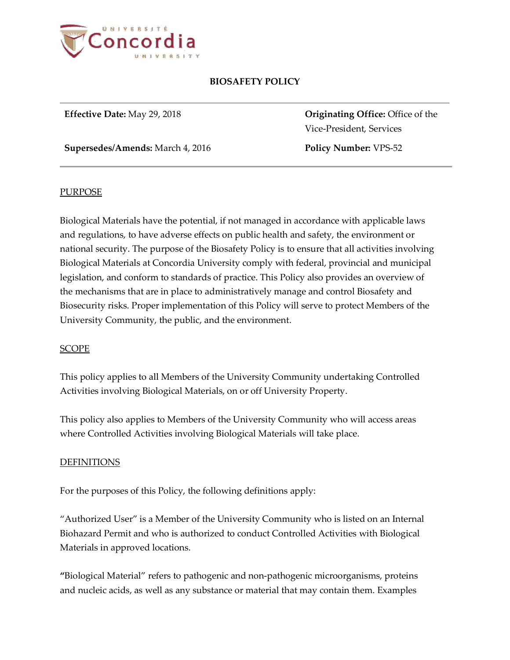

**Supersedes/Amends:** March 4, 2016 **Policy Number:** VPS-52

**Effective Date:** May 29, 2018 **Originating Office:** Office of the Vice-President, Services

### **PURPOSE**

Biological Materials have the potential, if not managed in accordance with applicable laws and regulations, to have adverse effects on public health and safety, the environment or national security. The purpose of the Biosafety Policy is to ensure that all activities involving Biological Materials at Concordia University comply with federal, provincial and municipal legislation, and conform to standards of practice. This Policy also provides an overview of the mechanisms that are in place to administratively manage and control Biosafety and Biosecurity risks. Proper implementation of this Policy will serve to protect Members of the University Community, the public, and the environment.

### SCOPE

This policy applies to all Members of the University Community undertaking Controlled Activities involving Biological Materials, on or off University Property.

This policy also applies to Members of the University Community who will access areas where Controlled Activities involving Biological Materials will take place.

### DEFINITIONS

For the purposes of this Policy, the following definitions apply:

"Authorized User" is a Member of the University Community who is listed on an Internal Biohazard Permit and who is authorized to conduct Controlled Activities with Biological Materials in approved locations.

**"**Biological Material" refers to pathogenic and non-pathogenic microorganisms, proteins and nucleic acids, as well as any substance or material that may contain them. Examples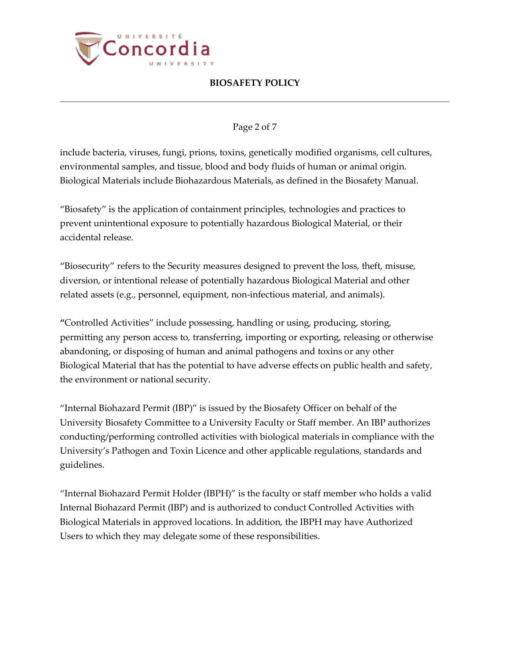

## Page 2 of 7

include bacteria, viruses, fungi, prions, toxins, genetically modified organisms, cell cultures, environmental samples, and tissue, blood and body fluids of human or animal origin. Biological Materials include Biohazardous Materials, as defined in the Biosafety Manual.

"Biosafety" is the application of containment principles, technologies and practices to prevent unintentional exposure to potentially hazardous Biological Material, or their accidental release.

"Biosecurity" refers to the Security measures designed to prevent the loss, theft, misuse, diversion, or intentional release of potentially hazardous Biological Material and other related assets (e.g., personnel, equipment, non-infectious material, and animals).

**"**Controlled Activities" include possessing, handling or using, producing, storing, permitting any person access to, transferring, importing or exporting, releasing or otherwise abandoning, or disposing of human and animal pathogens and toxins or any other Biological Material that has the potential to have adverse effects on public health and safety, the environment or national security.

"Internal Biohazard Permit (IBP)" is issued by the Biosafety Officer on behalf of the University Biosafety Committee to a University Faculty or Staff member. An IBP authorizes conducting/performing controlled activities with biological materials in compliance with the University's Pathogen and Toxin Licence and other applicable regulations, standards and guidelines.

"Internal Biohazard Permit Holder (IBPH)" is the faculty or staff member who holds a valid Internal Biohazard Permit (IBP) and is authorized to conduct Controlled Activities with Biological Materials in approved locations. In addition, the IBPH may have Authorized Users to which they may delegate some of these responsibilities.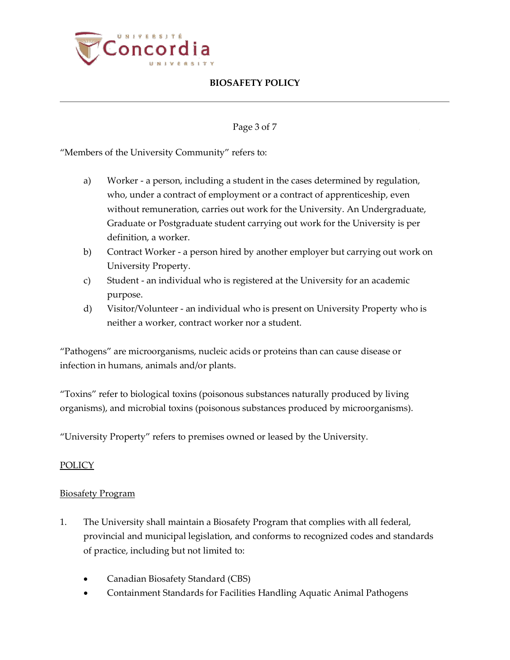

## Page 3 of 7

"Members of the University Community" refers to:

- a) Worker a person, including a student in the cases determined by regulation, who, under a contract of employment or a contract of apprenticeship, even without remuneration, carries out work for the University. An Undergraduate, Graduate or Postgraduate student carrying out work for the University is per definition, a worker.
- b) Contract Worker a person hired by another employer but carrying out work on University Property.
- c) Student an individual who is registered at the University for an academic purpose.
- d) Visitor/Volunteer an individual who is present on University Property who is neither a worker, contract worker nor a student.

"Pathogens" are microorganisms, nucleic acids or proteins than can cause disease or infection in humans, animals and/or plants.

"Toxins" refer to biological toxins (poisonous substances naturally produced by living organisms), and microbial toxins (poisonous substances produced by microorganisms).

"University Property" refers to premises owned or leased by the University.

## **POLICY**

### Biosafety Program

- 1. The University shall maintain a Biosafety Program that complies with all federal, provincial and municipal legislation, and conforms to recognized codes and standards of practice, including but not limited to:
	- Canadian Biosafety Standard (CBS)
	- Containment Standards for Facilities Handling Aquatic Animal Pathogens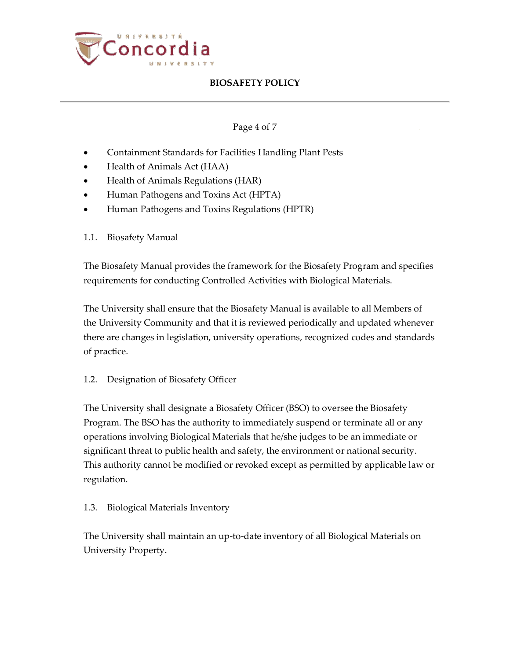

## Page 4 of 7

- Containment Standards for Facilities Handling Plant Pests
- Health of Animals Act (HAA)
- Health of Animals Regulations (HAR)
- Human Pathogens and Toxins Act (HPTA)
- Human Pathogens and Toxins Regulations (HPTR)
- 1.1. Biosafety Manual

The Biosafety Manual provides the framework for the Biosafety Program and specifies requirements for conducting Controlled Activities with Biological Materials.

The University shall ensure that the Biosafety Manual is available to all Members of the University Community and that it is reviewed periodically and updated whenever there are changes in legislation, university operations, recognized codes and standards of practice.

1.2. Designation of Biosafety Officer

The University shall designate a Biosafety Officer (BSO) to oversee the Biosafety Program. The BSO has the authority to immediately suspend or terminate all or any operations involving Biological Materials that he/she judges to be an immediate or significant threat to public health and safety, the environment or national security. This authority cannot be modified or revoked except as permitted by applicable law or regulation.

### 1.3. Biological Materials Inventory

The University shall maintain an up-to-date inventory of all Biological Materials on University Property.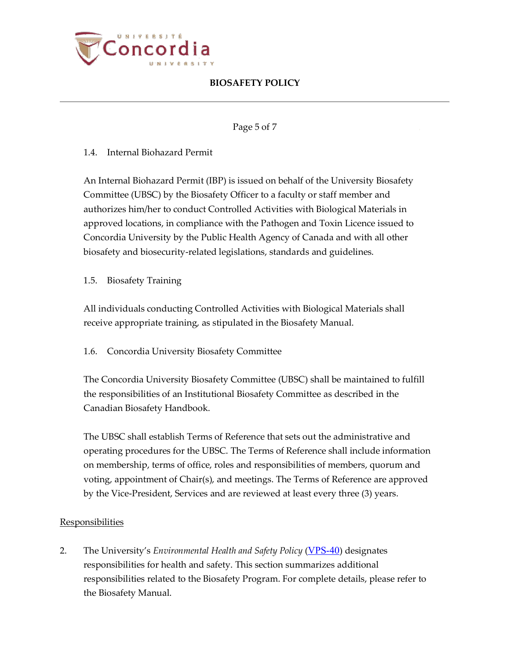

## Page 5 of 7

## 1.4. Internal Biohazard Permit

An Internal Biohazard Permit (IBP) is issued on behalf of the University Biosafety Committee (UBSC) by the Biosafety Officer to a faculty or staff member and authorizes him/her to conduct Controlled Activities with Biological Materials in approved locations, in compliance with the Pathogen and Toxin Licence issued to Concordia University by the Public Health Agency of Canada and with all other biosafety and biosecurity-related legislations, standards and guidelines.

## 1.5. Biosafety Training

All individuals conducting Controlled Activities with Biological Materials shall receive appropriate training, as stipulated in the Biosafety Manual.

## 1.6. Concordia University Biosafety Committee

The Concordia University Biosafety Committee (UBSC) shall be maintained to fulfill the responsibilities of an Institutional Biosafety Committee as described in the Canadian Biosafety Handbook.

The UBSC shall establish Terms of Reference that sets out the administrative and operating procedures for the UBSC. The Terms of Reference shall include information on membership, terms of office, roles and responsibilities of members, quorum and voting, appointment of Chair(s), and meetings. The Terms of Reference are approved by the Vice-President, Services and are reviewed at least every three (3) years.

### **Responsibilities**

2. The University's *Environmental Health and Safety Policy* ([VPS-40](http://www.concordia.ca/content/dam/common/docs/policies/official-policies/VPS-40.pdf)) designates responsibilities for health and safety. This section summarizes additional responsibilities related to the Biosafety Program. For complete details, please refer to the Biosafety Manual.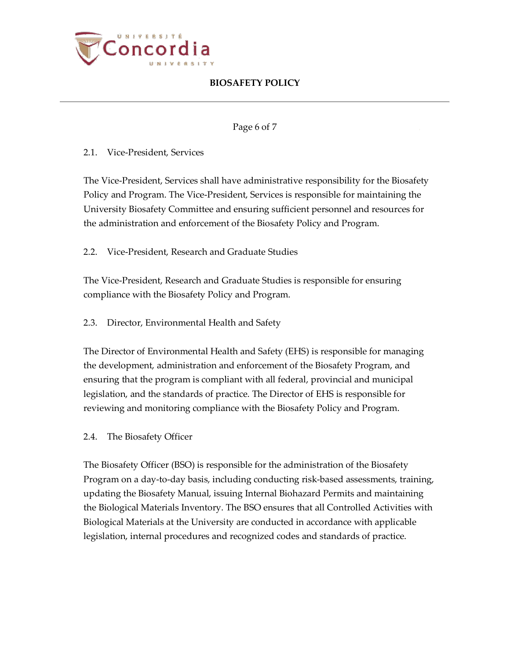

## Page 6 of 7

## 2.1. Vice-President, Services

The Vice-President, Services shall have administrative responsibility for the Biosafety Policy and Program. The Vice-President, Services is responsible for maintaining the University Biosafety Committee and ensuring sufficient personnel and resources for the administration and enforcement of the Biosafety Policy and Program.

2.2. Vice-President, Research and Graduate Studies

The Vice-President, Research and Graduate Studies is responsible for ensuring compliance with the Biosafety Policy and Program.

2.3. Director, Environmental Health and Safety

The Director of Environmental Health and Safety (EHS) is responsible for managing the development, administration and enforcement of the Biosafety Program, and ensuring that the program is compliant with all federal, provincial and municipal legislation, and the standards of practice. The Director of EHS is responsible for reviewing and monitoring compliance with the Biosafety Policy and Program.

### 2.4. The Biosafety Officer

The Biosafety Officer (BSO) is responsible for the administration of the Biosafety Program on a day-to-day basis, including conducting risk-based assessments, training, updating the Biosafety Manual, issuing Internal Biohazard Permits and maintaining the Biological Materials Inventory. The BSO ensures that all Controlled Activities with Biological Materials at the University are conducted in accordance with applicable legislation, internal procedures and recognized codes and standards of practice.